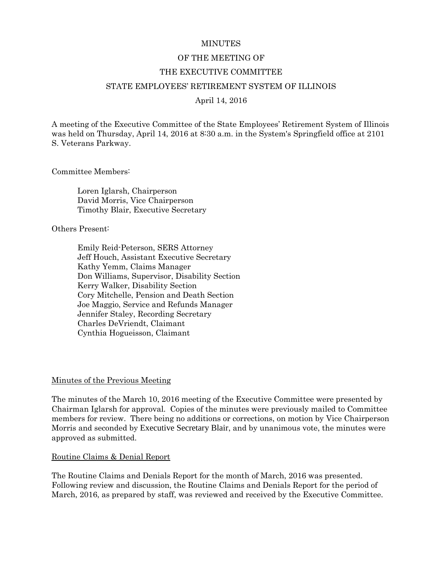#### **MINUTES**

#### OF THE MEETING OF

#### THE EXECUTIVE COMMITTEE

#### STATE EMPLOYEES' RETIREMENT SYSTEM OF ILLINOIS

April 14, 2016

A meeting of the Executive Committee of the State Employees' Retirement System of Illinois was held on Thursday, April 14, 2016 at 8:30 a.m. in the System's Springfield office at 2101 S. Veterans Parkway.

Committee Members:

Loren Iglarsh, Chairperson David Morris, Vice Chairperson Timothy Blair, Executive Secretary

Others Present:

Emily Reid-Peterson, SERS Attorney Jeff Houch, Assistant Executive Secretary Kathy Yemm, Claims Manager Don Williams, Supervisor, Disability Section Kerry Walker, Disability Section Cory Mitchelle, Pension and Death Section Joe Maggio, Service and Refunds Manager Jennifer Staley, Recording Secretary Charles DeVriendt, Claimant Cynthia Hogueisson, Claimant

#### Minutes of the Previous Meeting

The minutes of the March 10, 2016 meeting of the Executive Committee were presented by Chairman Iglarsh for approval. Copies of the minutes were previously mailed to Committee members for review. There being no additions or corrections, on motion by Vice Chairperson Morris and seconded by Executive Secretary Blair, and by unanimous vote, the minutes were approved as submitted.

#### Routine Claims & Denial Report

The Routine Claims and Denials Report for the month of March, 2016 was presented. Following review and discussion, the Routine Claims and Denials Report for the period of March, 2016, as prepared by staff, was reviewed and received by the Executive Committee.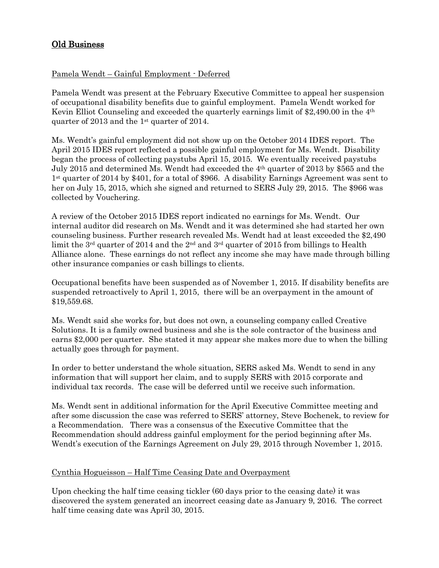# Old Business

## Pamela Wendt – Gainful Employment - Deferred

Pamela Wendt was present at the February Executive Committee to appeal her suspension of occupational disability benefits due to gainful employment. Pamela Wendt worked for Kevin Elliot Counseling and exceeded the quarterly earnings limit of \$2,490.00 in the 4th quarter of 2013 and the 1st quarter of 2014.

Ms. Wendt's gainful employment did not show up on the October 2014 IDES report. The April 2015 IDES report reflected a possible gainful employment for Ms. Wendt. Disability began the process of collecting paystubs April 15, 2015. We eventually received paystubs July 2015 and determined Ms. Wendt had exceeded the 4th quarter of 2013 by \$565 and the 1st quarter of 2014 by \$401, for a total of \$966. A disability Earnings Agreement was sent to her on July 15, 2015, which she signed and returned to SERS July 29, 2015. The \$966 was collected by Vouchering.

A review of the October 2015 IDES report indicated no earnings for Ms. Wendt. Our internal auditor did research on Ms. Wendt and it was determined she had started her own counseling business. Further research revealed Ms. Wendt had at least exceeded the \$2,490 limit the 3<sup>rd</sup> quarter of 2014 and the 2<sup>nd</sup> and 3<sup>rd</sup> quarter of 2015 from billings to Health Alliance alone. These earnings do not reflect any income she may have made through billing other insurance companies or cash billings to clients.

Occupational benefits have been suspended as of November 1, 2015. If disability benefits are suspended retroactively to April 1, 2015, there will be an overpayment in the amount of \$19,559.68.

Ms. Wendt said she works for, but does not own, a counseling company called Creative Solutions. It is a family owned business and she is the sole contractor of the business and earns \$2,000 per quarter. She stated it may appear she makes more due to when the billing actually goes through for payment.

In order to better understand the whole situation, SERS asked Ms. Wendt to send in any information that will support her claim, and to supply SERS with 2015 corporate and individual tax records. The case will be deferred until we receive such information.

Ms. Wendt sent in additional information for the April Executive Committee meeting and after some discussion the case was referred to SERS' attorney, Steve Bochenek, to review for a Recommendation. There was a consensus of the Executive Committee that the Recommendation should address gainful employment for the period beginning after Ms. Wendt's execution of the Earnings Agreement on July 29, 2015 through November 1, 2015.

## Cynthia Hogueisson – Half Time Ceasing Date and Overpayment

Upon checking the half time ceasing tickler (60 days prior to the ceasing date) it was discovered the system generated an incorrect ceasing date as January 9, 2016. The correct half time ceasing date was April 30, 2015.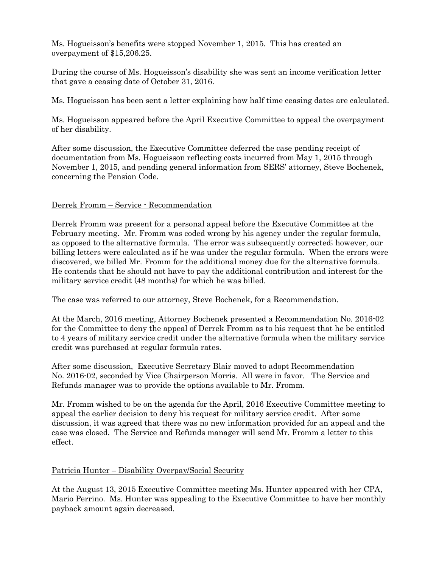Ms. Hogueisson's benefits were stopped November 1, 2015. This has created an overpayment of \$15,206.25.

During the course of Ms. Hogueisson's disability she was sent an income verification letter that gave a ceasing date of October 31, 2016.

Ms. Hogueisson has been sent a letter explaining how half time ceasing dates are calculated.

Ms. Hogueisson appeared before the April Executive Committee to appeal the overpayment of her disability.

After some discussion, the Executive Committee deferred the case pending receipt of documentation from Ms. Hogueisson reflecting costs incurred from May 1, 2015 through November 1, 2015, and pending general information from SERS' attorney, Steve Bochenek, concerning the Pension Code.

### Derrek Fromm – Service - Recommendation

Derrek Fromm was present for a personal appeal before the Executive Committee at the February meeting. Mr. Fromm was coded wrong by his agency under the regular formula, as opposed to the alternative formula. The error was subsequently corrected; however, our billing letters were calculated as if he was under the regular formula. When the errors were discovered, we billed Mr. Fromm for the additional money due for the alternative formula. He contends that he should not have to pay the additional contribution and interest for the military service credit (48 months) for which he was billed.

The case was referred to our attorney, Steve Bochenek, for a Recommendation.

At the March, 2016 meeting, Attorney Bochenek presented a Recommendation No. 2016-02 for the Committee to deny the appeal of Derrek Fromm as to his request that he be entitled to 4 years of military service credit under the alternative formula when the military service credit was purchased at regular formula rates.

After some discussion, Executive Secretary Blair moved to adopt Recommendation No. 2016-02, seconded by Vice Chairperson Morris. All were in favor. The Service and Refunds manager was to provide the options available to Mr. Fromm.

Mr. Fromm wished to be on the agenda for the April, 2016 Executive Committee meeting to appeal the earlier decision to deny his request for military service credit. After some discussion, it was agreed that there was no new information provided for an appeal and the case was closed. The Service and Refunds manager will send Mr. Fromm a letter to this effect.

### Patricia Hunter – Disability Overpay/Social Security

At the August 13, 2015 Executive Committee meeting Ms. Hunter appeared with her CPA, Mario Perrino. Ms. Hunter was appealing to the Executive Committee to have her monthly payback amount again decreased.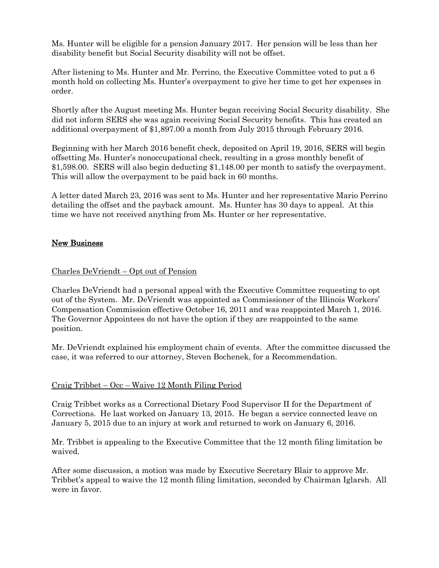Ms. Hunter will be eligible for a pension January 2017. Her pension will be less than her disability benefit but Social Security disability will not be offset.

After listening to Ms. Hunter and Mr. Perrino, the Executive Committee voted to put a 6 month hold on collecting Ms. Hunter's overpayment to give her time to get her expenses in order.

Shortly after the August meeting Ms. Hunter began receiving Social Security disability. She did not inform SERS she was again receiving Social Security benefits. This has created an additional overpayment of \$1,897.00 a month from July 2015 through February 2016.

Beginning with her March 2016 benefit check, deposited on April 19, 2016, SERS will begin offsetting Ms. Hunter's nonoccupational check, resulting in a gross monthly benefit of \$1,598.00. SERS will also begin deducting \$1,148.00 per month to satisfy the overpayment. This will allow the overpayment to be paid back in 60 months.

A letter dated March 23, 2016 was sent to Ms. Hunter and her representative Mario Perrino detailing the offset and the payback amount. Ms. Hunter has 30 days to appeal. At this time we have not received anything from Ms. Hunter or her representative.

## New Business

### Charles DeVriendt – Opt out of Pension

Charles DeVriendt had a personal appeal with the Executive Committee requesting to opt out of the System. Mr. DeVriendt was appointed as Commissioner of the Illinois Workers' Compensation Commission effective October 16, 2011 and was reappointed March 1, 2016. The Governor Appointees do not have the option if they are reappointed to the same position.

Mr. DeVriendt explained his employment chain of events. After the committee discussed the case, it was referred to our attorney, Steven Bochenek, for a Recommendation.

### Craig Tribbet – Occ – Waive 12 Month Filing Period

Craig Tribbet works as a Correctional Dietary Food Supervisor II for the Department of Corrections. He last worked on January 13, 2015. He began a service connected leave on January 5, 2015 due to an injury at work and returned to work on January 6, 2016.

Mr. Tribbet is appealing to the Executive Committee that the 12 month filing limitation be waived.

After some discussion, a motion was made by Executive Secretary Blair to approve Mr. Tribbet's appeal to waive the 12 month filing limitation, seconded by Chairman Iglarsh. All were in favor.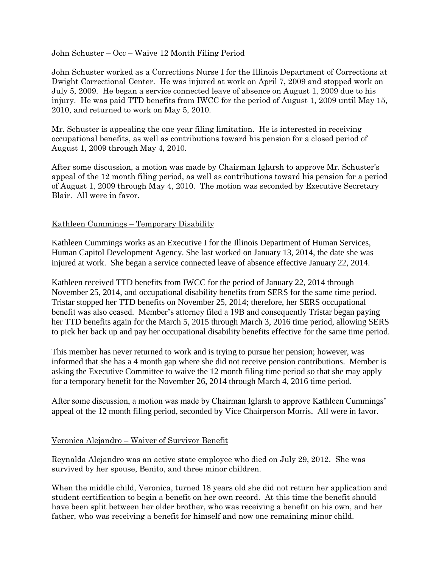### John Schuster – Occ – Waive 12 Month Filing Period

John Schuster worked as a Corrections Nurse I for the Illinois Department of Corrections at Dwight Correctional Center. He was injured at work on April 7, 2009 and stopped work on July 5, 2009. He began a service connected leave of absence on August 1, 2009 due to his injury. He was paid TTD benefits from IWCC for the period of August 1, 2009 until May 15, 2010, and returned to work on May 5, 2010.

Mr. Schuster is appealing the one year filing limitation. He is interested in receiving occupational benefits, as well as contributions toward his pension for a closed period of August 1, 2009 through May 4, 2010.

After some discussion, a motion was made by Chairman Iglarsh to approve Mr. Schuster's appeal of the 12 month filing period, as well as contributions toward his pension for a period of August 1, 2009 through May 4, 2010. The motion was seconded by Executive Secretary Blair. All were in favor.

### Kathleen Cummings – Temporary Disability

Kathleen Cummings works as an Executive I for the Illinois Department of Human Services, Human Capitol Development Agency. She last worked on January 13, 2014, the date she was injured at work. She began a service connected leave of absence effective January 22, 2014.

Kathleen received TTD benefits from IWCC for the period of January 22, 2014 through November 25, 2014, and occupational disability benefits from SERS for the same time period. Tristar stopped her TTD benefits on November 25, 2014; therefore, her SERS occupational benefit was also ceased. Member's attorney filed a 19B and consequently Tristar began paying her TTD benefits again for the March 5, 2015 through March 3, 2016 time period, allowing SERS to pick her back up and pay her occupational disability benefits effective for the same time period.

This member has never returned to work and is trying to pursue her pension; however, was informed that she has a 4 month gap where she did not receive pension contributions. Member is asking the Executive Committee to waive the 12 month filing time period so that she may apply for a temporary benefit for the November 26, 2014 through March 4, 2016 time period.

After some discussion, a motion was made by Chairman Iglarsh to approve Kathleen Cummings' appeal of the 12 month filing period, seconded by Vice Chairperson Morris. All were in favor.

## Veronica Alejandro – Waiver of Survivor Benefit

Reynalda Alejandro was an active state employee who died on July 29, 2012. She was survived by her spouse, Benito, and three minor children.

When the middle child, Veronica, turned 18 years old she did not return her application and student certification to begin a benefit on her own record. At this time the benefit should have been split between her older brother, who was receiving a benefit on his own, and her father, who was receiving a benefit for himself and now one remaining minor child.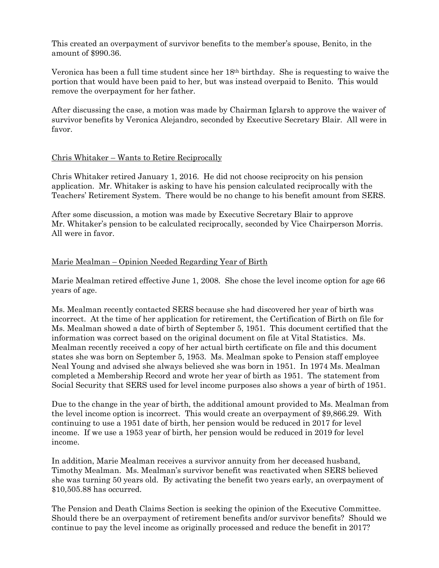This created an overpayment of survivor benefits to the member's spouse, Benito, in the amount of \$990.36.

Veronica has been a full time student since her 18th birthday. She is requesting to waive the portion that would have been paid to her, but was instead overpaid to Benito. This would remove the overpayment for her father.

After discussing the case, a motion was made by Chairman Iglarsh to approve the waiver of survivor benefits by Veronica Alejandro, seconded by Executive Secretary Blair. All were in favor.

### Chris Whitaker – Wants to Retire Reciprocally

Chris Whitaker retired January 1, 2016. He did not choose reciprocity on his pension application. Mr. Whitaker is asking to have his pension calculated reciprocally with the Teachers' Retirement System. There would be no change to his benefit amount from SERS.

After some discussion, a motion was made by Executive Secretary Blair to approve Mr. Whitaker's pension to be calculated reciprocally, seconded by Vice Chairperson Morris. All were in favor.

### Marie Mealman – Opinion Needed Regarding Year of Birth

Marie Mealman retired effective June 1, 2008. She chose the level income option for age 66 years of age.

Ms. Mealman recently contacted SERS because she had discovered her year of birth was incorrect. At the time of her application for retirement, the Certification of Birth on file for Ms. Mealman showed a date of birth of September 5, 1951. This document certified that the information was correct based on the original document on file at Vital Statistics. Ms. Mealman recently received a copy of her actual birth certificate on file and this document states she was born on September 5, 1953. Ms. Mealman spoke to Pension staff employee Neal Young and advised she always believed she was born in 1951. In 1974 Ms. Mealman completed a Membership Record and wrote her year of birth as 1951. The statement from Social Security that SERS used for level income purposes also shows a year of birth of 1951.

Due to the change in the year of birth, the additional amount provided to Ms. Mealman from the level income option is incorrect. This would create an overpayment of \$9,866.29. With continuing to use a 1951 date of birth, her pension would be reduced in 2017 for level income. If we use a 1953 year of birth, her pension would be reduced in 2019 for level income.

In addition, Marie Mealman receives a survivor annuity from her deceased husband, Timothy Mealman. Ms. Mealman's survivor benefit was reactivated when SERS believed she was turning 50 years old. By activating the benefit two years early, an overpayment of \$10,505.88 has occurred.

The Pension and Death Claims Section is seeking the opinion of the Executive Committee. Should there be an overpayment of retirement benefits and/or survivor benefits? Should we continue to pay the level income as originally processed and reduce the benefit in 2017?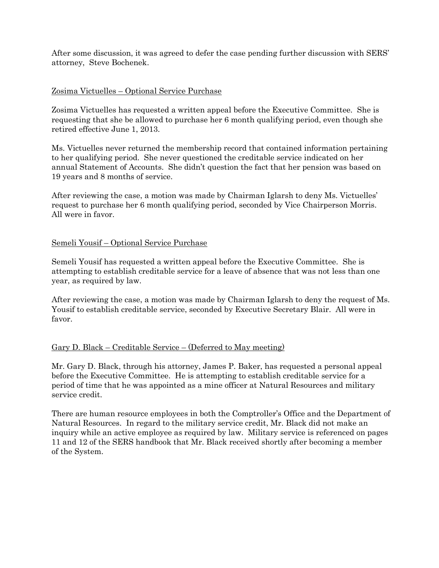After some discussion, it was agreed to defer the case pending further discussion with SERS' attorney, Steve Bochenek.

### Zosima Victuelles – Optional Service Purchase

Zosima Victuelles has requested a written appeal before the Executive Committee. She is requesting that she be allowed to purchase her 6 month qualifying period, even though she retired effective June 1, 2013.

Ms. Victuelles never returned the membership record that contained information pertaining to her qualifying period. She never questioned the creditable service indicated on her annual Statement of Accounts. She didn't question the fact that her pension was based on 19 years and 8 months of service.

After reviewing the case, a motion was made by Chairman Iglarsh to deny Ms. Victuelles' request to purchase her 6 month qualifying period, seconded by Vice Chairperson Morris. All were in favor.

### Semeli Yousif – Optional Service Purchase

Semeli Yousif has requested a written appeal before the Executive Committee. She is attempting to establish creditable service for a leave of absence that was not less than one year, as required by law.

After reviewing the case, a motion was made by Chairman Iglarsh to deny the request of Ms. Yousif to establish creditable service, seconded by Executive Secretary Blair. All were in favor.

## Gary D. Black – Creditable Service – (Deferred to May meeting)

Mr. Gary D. Black, through his attorney, James P. Baker, has requested a personal appeal before the Executive Committee. He is attempting to establish creditable service for a period of time that he was appointed as a mine officer at Natural Resources and military service credit.

There are human resource employees in both the Comptroller's Office and the Department of Natural Resources. In regard to the military service credit, Mr. Black did not make an inquiry while an active employee as required by law. Military service is referenced on pages 11 and 12 of the SERS handbook that Mr. Black received shortly after becoming a member of the System.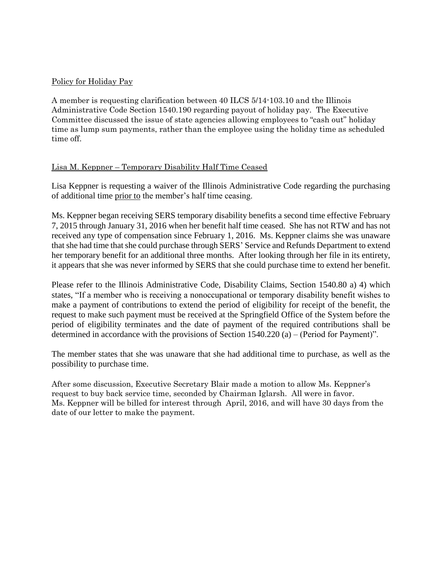### Policy for Holiday Pay

A member is requesting clarification between 40 ILCS 5/14-103.10 and the Illinois Administrative Code Section 1540.190 regarding payout of holiday pay. The Executive Committee discussed the issue of state agencies allowing employees to "cash out" holiday time as lump sum payments, rather than the employee using the holiday time as scheduled time off.

### Lisa M. Keppner – Temporary Disability Half Time Ceased

Lisa Keppner is requesting a waiver of the Illinois Administrative Code regarding the purchasing of additional time prior to the member's half time ceasing.

Ms. Keppner began receiving SERS temporary disability benefits a second time effective February 7, 2015 through January 31, 2016 when her benefit half time ceased. She has not RTW and has not received any type of compensation since February 1, 2016. Ms. Keppner claims she was unaware that she had time that she could purchase through SERS' Service and Refunds Department to extend her temporary benefit for an additional three months. After looking through her file in its entirety, it appears that she was never informed by SERS that she could purchase time to extend her benefit.

Please refer to the Illinois Administrative Code, Disability Claims, Section 1540.80 a) 4) which states, "If a member who is receiving a nonoccupational or temporary disability benefit wishes to make a payment of contributions to extend the period of eligibility for receipt of the benefit, the request to make such payment must be received at the Springfield Office of the System before the period of eligibility terminates and the date of payment of the required contributions shall be determined in accordance with the provisions of Section 1540.220 (a) – (Period for Payment)".

The member states that she was unaware that she had additional time to purchase, as well as the possibility to purchase time.

After some discussion, Executive Secretary Blair made a motion to allow Ms. Keppner's request to buy back service time, seconded by Chairman Iglarsh. All were in favor. Ms. Keppner will be billed for interest through April, 2016, and will have 30 days from the date of our letter to make the payment.